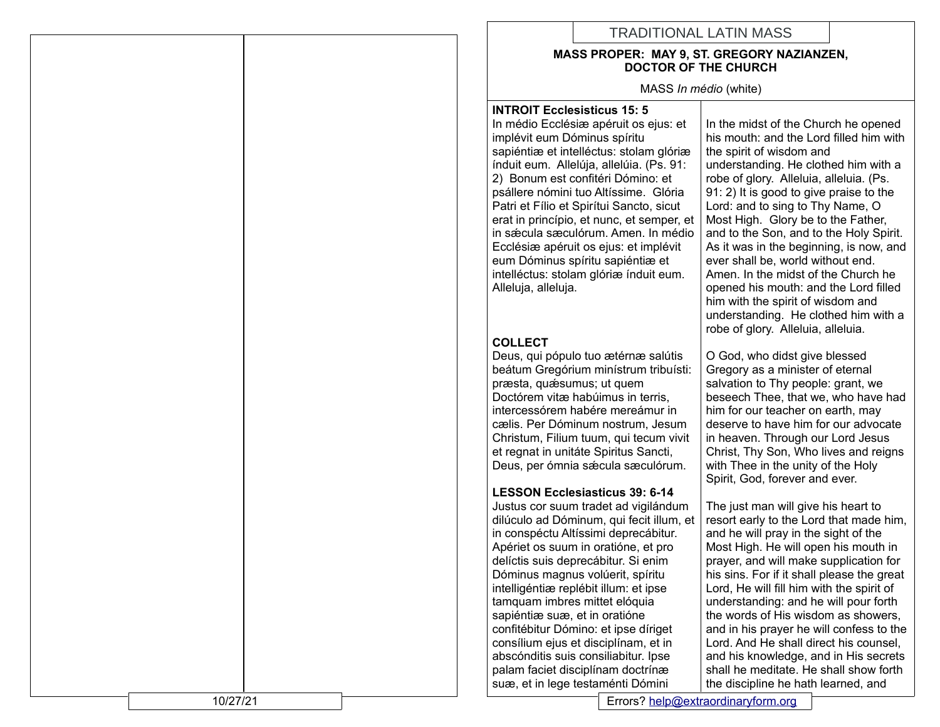# TRADITIONAL LATIN MASS

#### **MASS PROPER: MAY 9, ST. GREGORY NAZIANZEN, DOCTOR OF THE CHURCH**

MASS *In médio* (white)

#### **INTROIT Ecclesisticus 15: 5** In m édio Eccl ésiæ ap éruit os ejus: et impl évit eum D óminus sp íritu sapi éntiæ et intell éctus: stolam gl óriæ índuit eum. Allelúja, allel úia. (Ps. 91: 2) Bonum est confit éri D ómino: et ps állere n ómini tuo Alt íssime. Gl ória Patri et Fílio et Spirítui Sancto, sicut erat in princ ípio, et nunc, et semper, et in s ǽcula sæcul órum. Amen. In m édio Eccl ésiæ ap éruit os ejus: et impl évit eum D óminus sp íritu sapi éntiæ et intell éctus: stolam gl óriæ índuit eum. Alleluja, alleluja.

## **COLLECT**

Deus, qui p ópulo tuo æt érnæ sal útis be átum Greg órium min ístrum tribu ísti: præsta, quǽsumus; ut quem Doct órem vitæ hab úimus in terris, intercess órem hab ére mere ámur in cælis. Per D óminum nostrum, Jesum Christum, Filium tuum, qui tecum vivit et regnat in unit áte Spiritus Sancti, Deus, per ómnia sæcula sæculórum.

### **LESSON Ecclesiasticus 39: 6-14**

Justus cor suum tradet ad vigilándum dilúculo ad Dóminum, qui fecit illum, et in conspéctu Altíssimi deprecábitur. Apériet os suum in oratióne, et pro delíctis suis deprecábitur. Si enim Dóminus magnus volúerit, spíritu intelligéntiæ replébit illum: et ipse tamquam imbres mittet elóquia sapiéntiæ suæ, et in oratióne confitébitur Dómino: et ipse díriget consílium ejus et disciplínam, et in abscónditis suis consiliabitur. Ipse palam faciet disciplínam doctrínæ suæ, et in lege testaménti Dómini

In the midst of the Church he opened his mouth: and the Lord filled him with the spirit of wisdom and understanding. He clothed him with a robe of glory. Alleluia, alleluia. (Ps. 91: 2) It is good to give praise to the Lord: and to sing to Thy Name, O Most High. Glory be to the Father, and to the Son, and to the Holy Spirit. As it was in the beginning, is now, and ever shall be, world without end. Amen. In the midst of the Church he opened his mouth: and the Lord filled him with the spirit of wisdom and understanding. He clothed him with a robe of glory. Alleluia, alleluia.

O God, who didst give blessed Gregory as a minister of eternal salvation to Thy people: grant, we beseech Thee, that we, who have had him for our teacher on earth, may deserve to have him for our advocate in heaven. Through our Lord Jesus Christ, Thy Son, Who lives and reigns with Thee in the unity of the Holy Spirit, God, forever and ever.

The just man will give his heart to resort early to the Lord that made him, and he will pray in the sight of the Most High. He will open his mouth in prayer, and will make supplication for his sins. For if it shall please the great Lord, He will fill him with the spirit of understanding: and he will pour forth the words of His wisdom as showers, and in his prayer he will confess to the Lord. And He shall direct his counsel, and his knowledge, and in His secrets shall he meditate. He shall show forth the discipline he hath learned, and